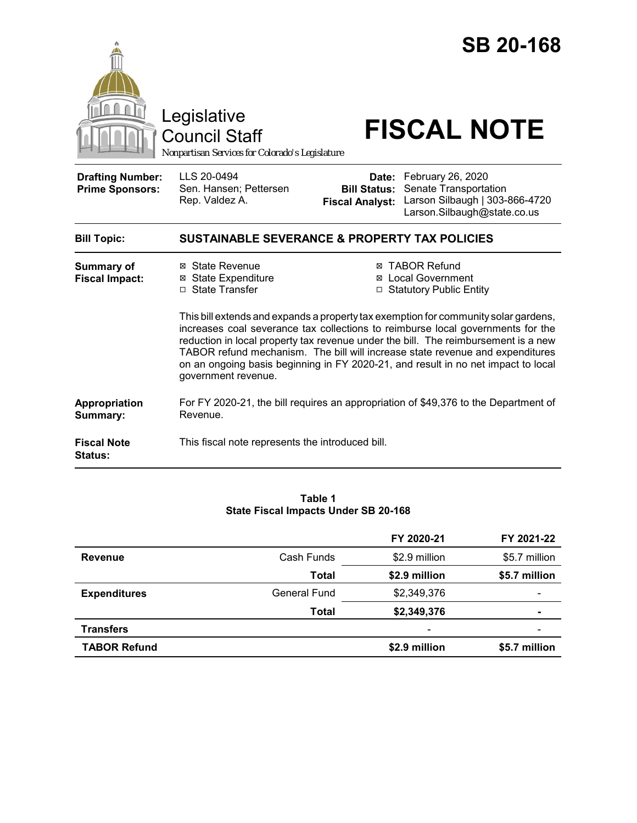

#### **Table 1 State Fiscal Impacts Under SB 20-168**

|                     |              | FY 2020-21               | FY 2021-22               |
|---------------------|--------------|--------------------------|--------------------------|
| <b>Revenue</b>      | Cash Funds   | \$2.9 million            | \$5.7 million            |
|                     | Total        | \$2.9 million            | \$5.7 million            |
| <b>Expenditures</b> | General Fund | \$2,349,376              | $\overline{\phantom{0}}$ |
|                     | Total        | \$2,349,376              | ۰                        |
| <b>Transfers</b>    |              | $\overline{\phantom{a}}$ |                          |
| <b>TABOR Refund</b> |              | \$2.9 million            | \$5.7 million            |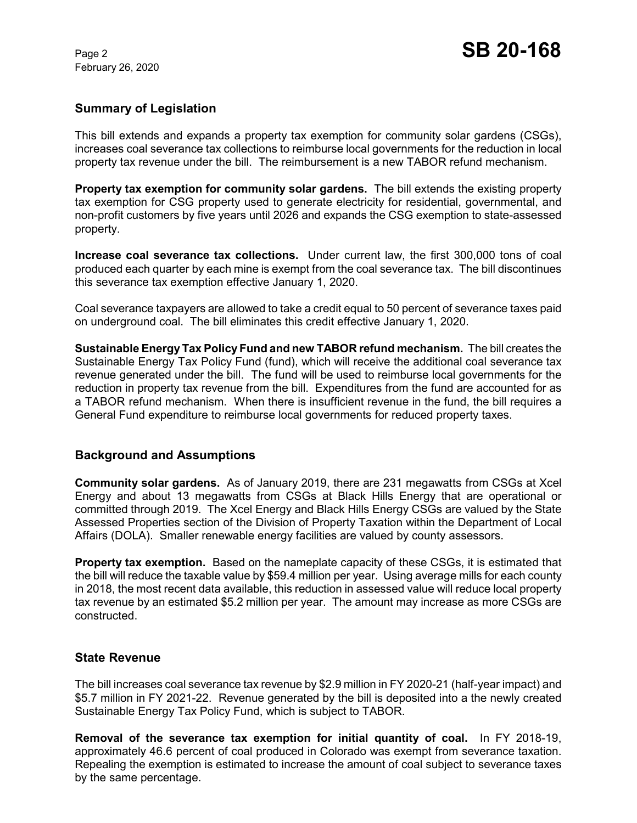February 26, 2020

## **Summary of Legislation**

This bill extends and expands a property tax exemption for community solar gardens (CSGs), increases coal severance tax collections to reimburse local governments for the reduction in local property tax revenue under the bill. The reimbursement is a new TABOR refund mechanism.

**Property tax exemption for community solar gardens.** The bill extends the existing property tax exemption for CSG property used to generate electricity for residential, governmental, and non-profit customers by five years until 2026 and expands the CSG exemption to state-assessed property.

**Increase coal severance tax collections.** Under current law, the first 300,000 tons of coal produced each quarter by each mine is exempt from the coal severance tax. The bill discontinues this severance tax exemption effective January 1, 2020.

Coal severance taxpayers are allowed to take a credit equal to 50 percent of severance taxes paid on underground coal. The bill eliminates this credit effective January 1, 2020.

**Sustainable Energy Tax Policy Fund and new TABOR refund mechanism.** The bill creates the Sustainable Energy Tax Policy Fund (fund), which will receive the additional coal severance tax revenue generated under the bill. The fund will be used to reimburse local governments for the reduction in property tax revenue from the bill. Expenditures from the fund are accounted for as a TABOR refund mechanism. When there is insufficient revenue in the fund, the bill requires a General Fund expenditure to reimburse local governments for reduced property taxes.

### **Background and Assumptions**

**Community solar gardens.** As of January 2019, there are 231 megawatts from CSGs at Xcel Energy and about 13 megawatts from CSGs at Black Hills Energy that are operational or committed through 2019. The Xcel Energy and Black Hills Energy CSGs are valued by the State Assessed Properties section of the Division of Property Taxation within the Department of Local Affairs (DOLA). Smaller renewable energy facilities are valued by county assessors.

**Property tax exemption.** Based on the nameplate capacity of these CSGs, it is estimated that the bill will reduce the taxable value by \$59.4 million per year. Using average mills for each county in 2018, the most recent data available, this reduction in assessed value will reduce local property tax revenue by an estimated \$5.2 million per year. The amount may increase as more CSGs are constructed.

### **State Revenue**

The bill increases coal severance tax revenue by \$2.9 million in FY 2020-21 (half-year impact) and \$5.7 million in FY 2021-22. Revenue generated by the bill is deposited into a the newly created Sustainable Energy Tax Policy Fund, which is subject to TABOR.

**Removal of the severance tax exemption for initial quantity of coal.** In FY 2018-19, approximately 46.6 percent of coal produced in Colorado was exempt from severance taxation. Repealing the exemption is estimated to increase the amount of coal subject to severance taxes by the same percentage.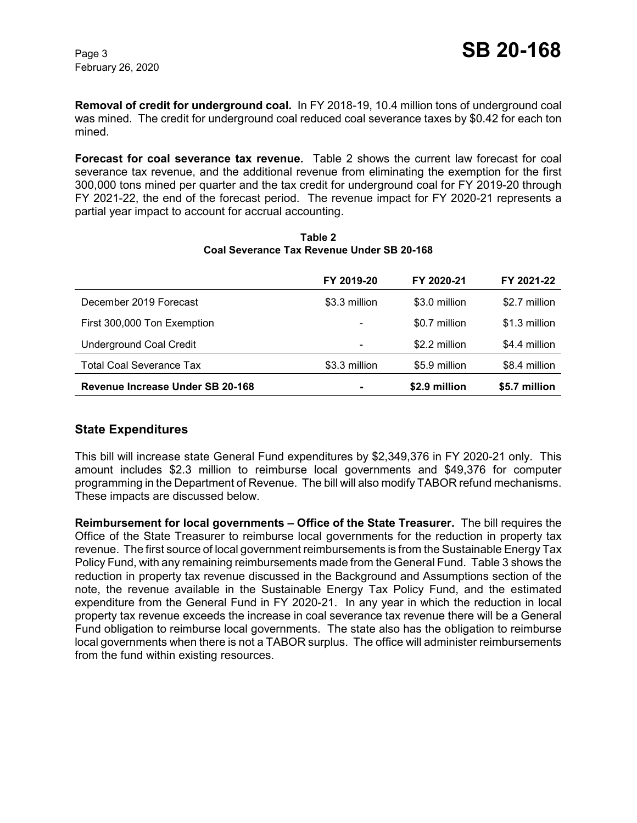**Removal of credit for underground coal.** In FY 2018-19, 10.4 million tons of underground coal was mined. The credit for underground coal reduced coal severance taxes by \$0.42 for each ton mined.

**Forecast for coal severance tax revenue.** Table 2 shows the current law forecast for coal severance tax revenue, and the additional revenue from eliminating the exemption for the first 300,000 tons mined per quarter and the tax credit for underground coal for FY 2019-20 through FY 2021-22, the end of the forecast period. The revenue impact for FY 2020-21 represents a partial year impact to account for accrual accounting.

|                                  | FY 2019-20    | FY 2020-21    | FY 2021-22    |
|----------------------------------|---------------|---------------|---------------|
| December 2019 Forecast           | \$3.3 million | \$3.0 million | \$2.7 million |
| First 300,000 Ton Exemption      | -             | \$0.7 million | \$1.3 million |
| <b>Underground Coal Credit</b>   |               | \$2.2 million | \$4.4 million |
| <b>Total Coal Severance Tax</b>  | \$3.3 million | \$5.9 million | \$8.4 million |
| Revenue Increase Under SB 20-168 |               | \$2.9 million | \$5.7 million |

**Table 2 Coal Severance Tax Revenue Under SB 20-168**

# **State Expenditures**

This bill will increase state General Fund expenditures by \$2,349,376 in FY 2020-21 only. This amount includes \$2.3 million to reimburse local governments and \$49,376 for computer programming in the Department of Revenue. The bill will also modify TABOR refund mechanisms. These impacts are discussed below.

**Reimbursement for local governments – Office of the State Treasurer.** The bill requires the Office of the State Treasurer to reimburse local governments for the reduction in property tax revenue. The first source of local government reimbursements is from the Sustainable Energy Tax Policy Fund, with any remaining reimbursements made from the General Fund. Table 3 shows the reduction in property tax revenue discussed in the Background and Assumptions section of the note, the revenue available in the Sustainable Energy Tax Policy Fund, and the estimated expenditure from the General Fund in FY 2020-21. In any year in which the reduction in local property tax revenue exceeds the increase in coal severance tax revenue there will be a General Fund obligation to reimburse local governments. The state also has the obligation to reimburse local governments when there is not a TABOR surplus. The office will administer reimbursements from the fund within existing resources.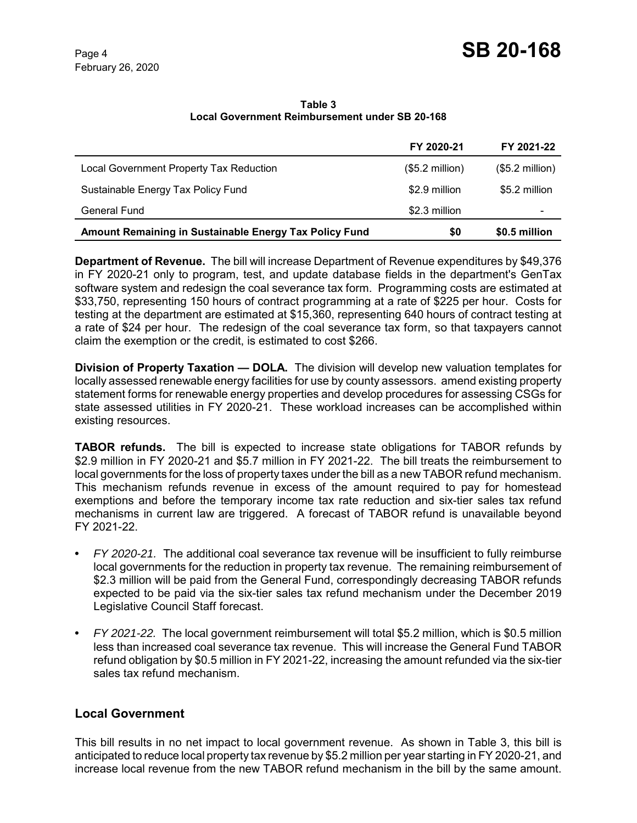**Table 3 Local Government Reimbursement under SB 20-168**

|                                                        | FY 2020-21       | FY 2021-22       |
|--------------------------------------------------------|------------------|------------------|
| Local Government Property Tax Reduction                | $($5.2$ million) | $($5.2$ million) |
| Sustainable Energy Tax Policy Fund                     | \$2.9 million    | \$5.2 million    |
| <b>General Fund</b>                                    | \$2.3 million    |                  |
| Amount Remaining in Sustainable Energy Tax Policy Fund | \$0              | \$0.5 million    |

**Department of Revenue.** The bill will increase Department of Revenue expenditures by \$49,376 in FY 2020-21 only to program, test, and update database fields in the department's GenTax software system and redesign the coal severance tax form. Programming costs are estimated at \$33,750, representing 150 hours of contract programming at a rate of \$225 per hour. Costs for testing at the department are estimated at \$15,360, representing 640 hours of contract testing at a rate of \$24 per hour. The redesign of the coal severance tax form, so that taxpayers cannot claim the exemption or the credit, is estimated to cost \$266.

**Division of Property Taxation — DOLA.** The division will develop new valuation templates for locally assessed renewable energy facilities for use by county assessors. amend existing property statement forms for renewable energy properties and develop procedures for assessing CSGs for state assessed utilities in FY 2020-21. These workload increases can be accomplished within existing resources.

**TABOR refunds.** The bill is expected to increase state obligations for TABOR refunds by \$2.9 million in FY 2020-21 and \$5.7 million in FY 2021-22. The bill treats the reimbursement to local governments for the loss of property taxes under the bill as a new TABOR refund mechanism. This mechanism refunds revenue in excess of the amount required to pay for homestead exemptions and before the temporary income tax rate reduction and six-tier sales tax refund mechanisms in current law are triggered. A forecast of TABOR refund is unavailable beyond FY 2021-22.

- **•** *FY 2020-21.* The additional coal severance tax revenue will be insufficient to fully reimburse local governments for the reduction in property tax revenue. The remaining reimbursement of \$2.3 million will be paid from the General Fund, correspondingly decreasing TABOR refunds expected to be paid via the six-tier sales tax refund mechanism under the December 2019 Legislative Council Staff forecast.
- **•** *FY 2021-22.* The local government reimbursement will total \$5.2 million, which is \$0.5 million less than increased coal severance tax revenue. This will increase the General Fund TABOR refund obligation by \$0.5 million in FY 2021-22, increasing the amount refunded via the six-tier sales tax refund mechanism.

# **Local Government**

This bill results in no net impact to local government revenue. As shown in Table 3, this bill is anticipated to reduce local property tax revenue by \$5.2 million per year starting in FY 2020-21, and increase local revenue from the new TABOR refund mechanism in the bill by the same amount.